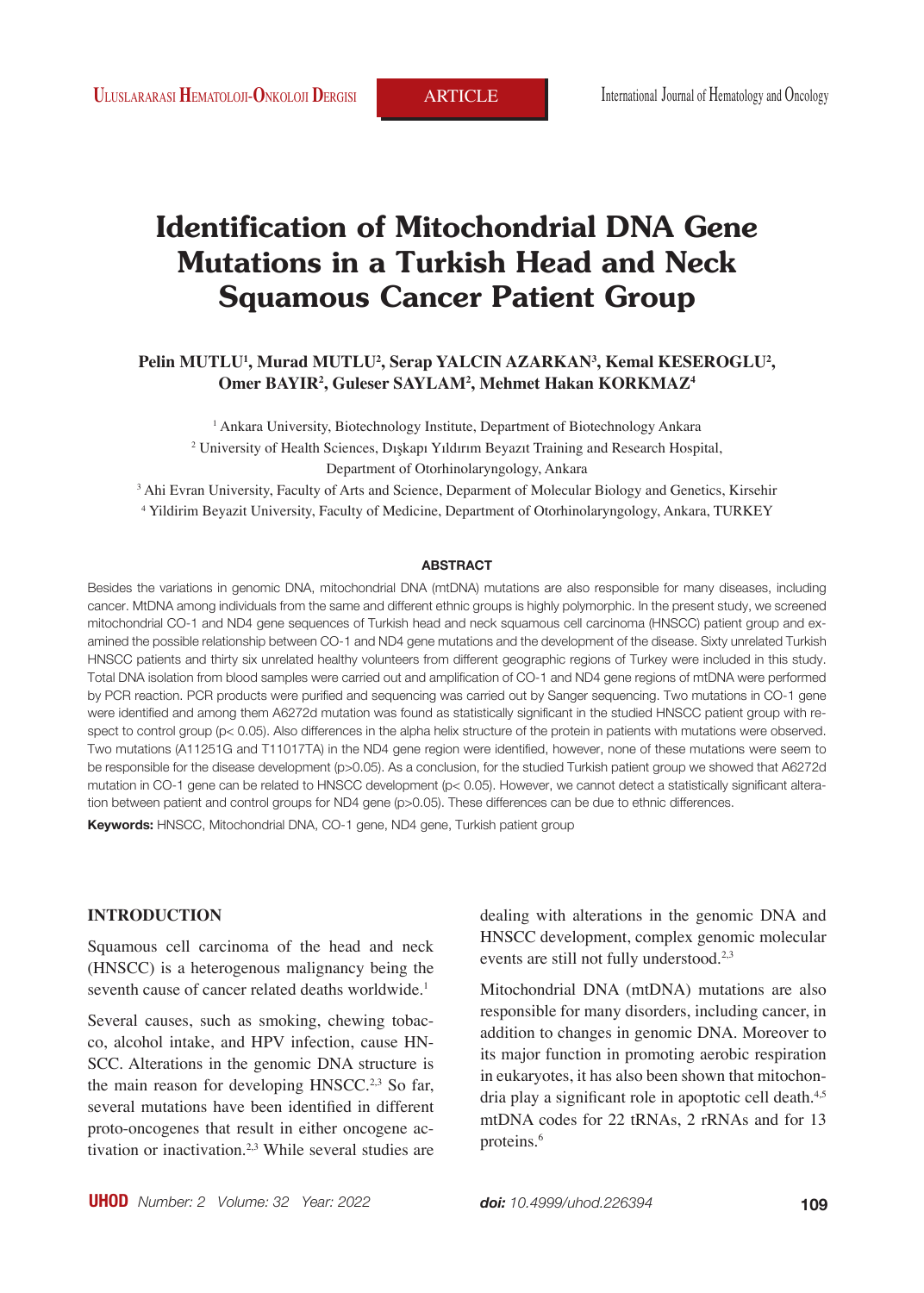# **Identification of Mitochondrial DNA Gene Mutations in a Turkish Head and Neck Squamous Cancer Patient Group**

## **Pelin MUTLU1 , Murad MUTLU2 , Serap YALCIN AZARKAN3 , Kemal KESEROGLU2 , Omer BAYIR2 , Guleser SAYLAM2 , Mehmet Hakan KORKMAZ4**

1 Ankara University, Biotechnology Institute, Department of Biotechnology Ankara 2 University of Health Sciences, Dışkapı Yıldırım Beyazıt Training and Research Hospital, Department of Otorhinolaryngology, Ankara

3 Ahi Evran University, Faculty of Arts and Science, Deparment of Molecular Biology and Genetics, Kirsehir 4 Yildirim Beyazit University, Faculty of Medicine, Department of Otorhinolaryngology, Ankara, TURKEY

#### **ABSTRACT**

Besides the variations in genomic DNA, mitochondrial DNA (mtDNA) mutations are also responsible for many diseases, including cancer. MtDNA among individuals from the same and different ethnic groups is highly polymorphic. In the present study, we screened mitochondrial CO-1 and ND4 gene sequences of Turkish head and neck squamous cell carcinoma (HNSCC) patient group and examined the possible relationship between CO-1 and ND4 gene mutations and the development of the disease. Sixty unrelated Turkish HNSCC patients and thirty six unrelated healthy volunteers from different geographic regions of Turkey were included in this study. Total DNA isolation from blood samples were carried out and amplification of CO-1 and ND4 gene regions of mtDNA were performed by PCR reaction. PCR products were purified and sequencing was carried out by Sanger sequencing. Two mutations in CO-1 gene were identified and among them A6272d mutation was found as statistically significant in the studied HNSCC patient group with respect to control group (p< 0.05). Also differences in the alpha helix structure of the protein in patients with mutations were observed. Two mutations (A11251G and T11017TA) in the ND4 gene region were identified, however, none of these mutations were seem to be responsible for the disease development (p>0.05). As a conclusion, for the studied Turkish patient group we showed that A6272d mutation in CO-1 gene can be related to HNSCC development (p< 0.05). However, we cannot detect a statistically significant alteration between patient and control groups for ND4 gene (p>0.05). These differences can be due to ethnic differences.

**Keywords:** HNSCC, Mitochondrial DNA, CO-1 gene, ND4 gene, Turkish patient group

#### **INTRODUCTION**

Squamous cell carcinoma of the head and neck (HNSCC) is a heterogenous malignancy being the seventh cause of cancer related deaths worldwide.<sup>1</sup>

Several causes, such as smoking, chewing tobacco, alcohol intake, and HPV infection, cause HN-SCC. Alterations in the genomic DNA structure is the main reason for developing  $HNSCC<sup>2,3</sup>$  So far, several mutations have been identified in different proto-oncogenes that result in either oncogene activation or inactivation.<sup>2,3</sup> While several studies are dealing with alterations in the genomic DNA and HNSCC development, complex genomic molecular events are still not fully understood.<sup>2,3</sup>

Mitochondrial DNA (mtDNA) mutations are also responsible for many disorders, including cancer, in addition to changes in genomic DNA. Moreover to its major function in promoting aerobic respiration in eukaryotes, it has also been shown that mitochondria play a significant role in apoptotic cell death.<sup>4,5</sup> mtDNA codes for 22 tRNAs, 2 rRNAs and for 13 proteins.<sup>6</sup>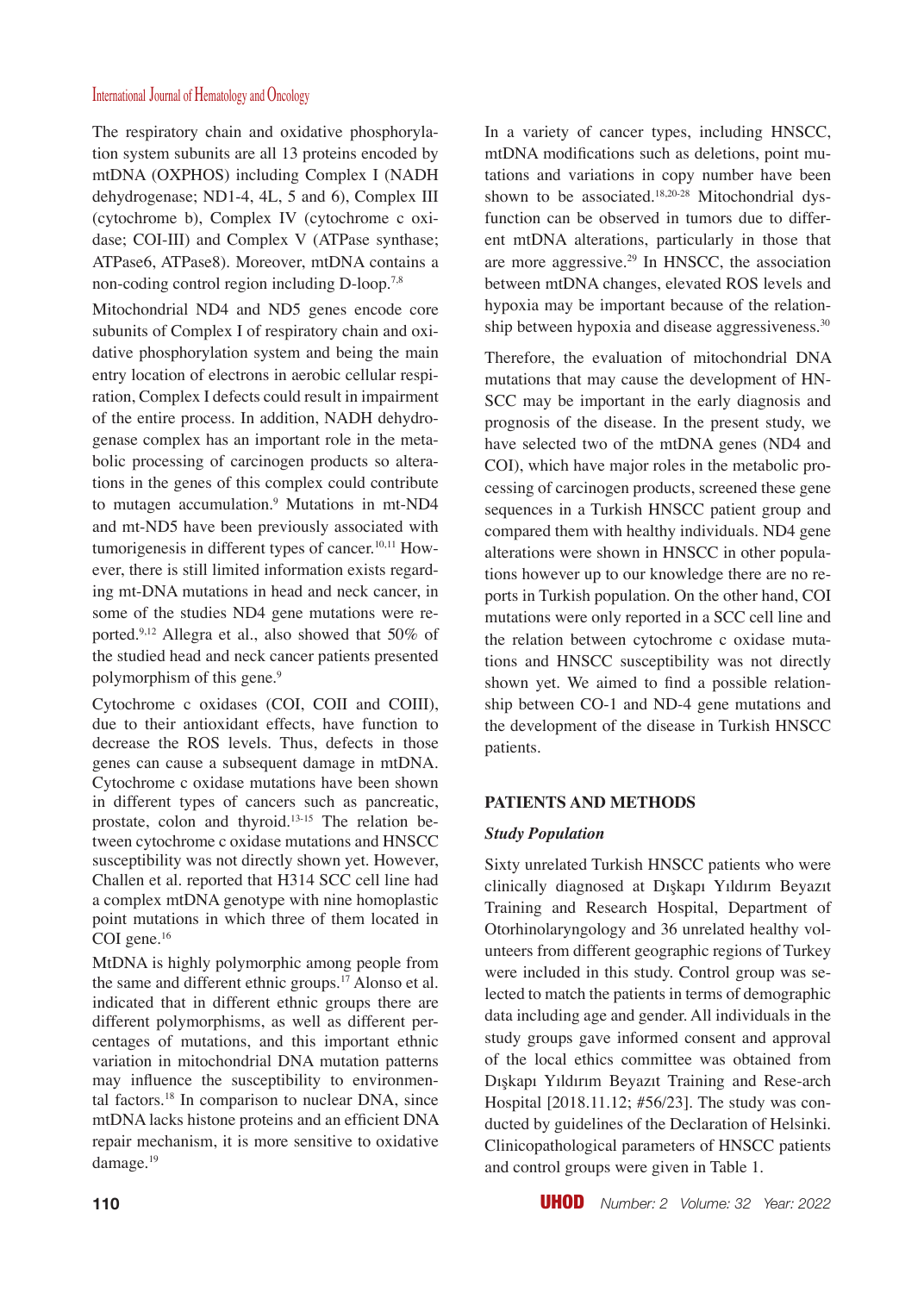The respiratory chain and oxidative phosphorylation system subunits are all 13 proteins encoded by mtDNA (OXPHOS) including Complex I (NADH dehydrogenase; ND1-4, 4L, 5 and 6), Complex III (cytochrome b), Complex IV (cytochrome c oxidase; COI-III) and Complex V (ATPase synthase; ATPase6, ATPase8). Moreover, mtDNA contains a non-coding control region including D-loop.7,8

Mitochondrial ND4 and ND5 genes encode core subunits of Complex I of respiratory chain and oxidative phosphorylation system and being the main entry location of electrons in aerobic cellular respiration, Complex I defects could result in impairment of the entire process. In addition, NADH dehydrogenase complex has an important role in the metabolic processing of carcinogen products so alterations in the genes of this complex could contribute to mutagen accumulation.<sup>9</sup> Mutations in mt-ND4 and mt-ND5 have been previously associated with tumorigenesis in different types of cancer.<sup>10,11</sup> However, there is still limited information exists regarding mt-DNA mutations in head and neck cancer, in some of the studies ND4 gene mutations were reported.9,12 Allegra et al., also showed that 50% of the studied head and neck cancer patients presented polymorphism of this gene.<sup>9</sup>

Cytochrome c oxidases (COI, COII and COIII), due to their antioxidant effects, have function to decrease the ROS levels. Thus, defects in those genes can cause a subsequent damage in mtDNA. Cytochrome c oxidase mutations have been shown in different types of cancers such as pancreatic, prostate, colon and thyroid.13-15 The relation between cytochrome c oxidase mutations and HNSCC susceptibility was not directly shown yet. However, Challen et al. reported that H314 SCC cell line had a complex mtDNA genotype with nine homoplastic point mutations in which three of them located in COI gene.<sup>16</sup>

MtDNA is highly polymorphic among people from the same and different ethnic groups.<sup>17</sup> Alonso et al. indicated that in different ethnic groups there are different polymorphisms, as well as different percentages of mutations, and this important ethnic variation in mitochondrial DNA mutation patterns may influence the susceptibility to environmental factors.<sup>18</sup> In comparison to nuclear DNA, since mtDNA lacks histone proteins and an efficient DNA repair mechanism, it is more sensitive to oxidative damage.<sup>19</sup>

In a variety of cancer types, including HNSCC, mtDNA modifications such as deletions, point mutations and variations in copy number have been shown to be associated.<sup>18,20-28</sup> Mitochondrial dysfunction can be observed in tumors due to different mtDNA alterations, particularly in those that are more aggressive.29 In HNSCC, the association between mtDNA changes, elevated ROS levels and hypoxia may be important because of the relationship between hypoxia and disease aggressiveness.<sup>30</sup>

Therefore, the evaluation of mitochondrial DNA mutations that may cause the development of HN-SCC may be important in the early diagnosis and prognosis of the disease. In the present study, we have selected two of the mtDNA genes (ND4 and COI), which have major roles in the metabolic processing of carcinogen products, screened these gene sequences in a Turkish HNSCC patient group and compared them with healthy individuals. ND4 gene alterations were shown in HNSCC in other populations however up to our knowledge there are no reports in Turkish population. On the other hand, COI mutations were only reported in a SCC cell line and the relation between cytochrome c oxidase mutations and HNSCC susceptibility was not directly shown yet. We aimed to find a possible relationship between CO-1 and ND-4 gene mutations and the development of the disease in Turkish HNSCC patients.

## **PATIENTS AND METHODS**

## *Study Population*

Sixty unrelated Turkish HNSCC patients who were clinically diagnosed at Dışkapı Yıldırım Beyazıt Training and Research Hospital, Department of Otorhinolaryngology and 36 unrelated healthy volunteers from different geographic regions of Turkey were included in this study. Control group was selected to match the patients in terms of demographic data including age and gender. All individuals in the study groups gave informed consent and approval of the local ethics committee was obtained from Dışkapı Yıldırım Beyazıt Training and Rese-arch Hospital [2018.11.12; #56/23]. The study was conducted by guidelines of the Declaration of Helsinki. Clinicopathological parameters of HNSCC patients and control groups were given in Table 1.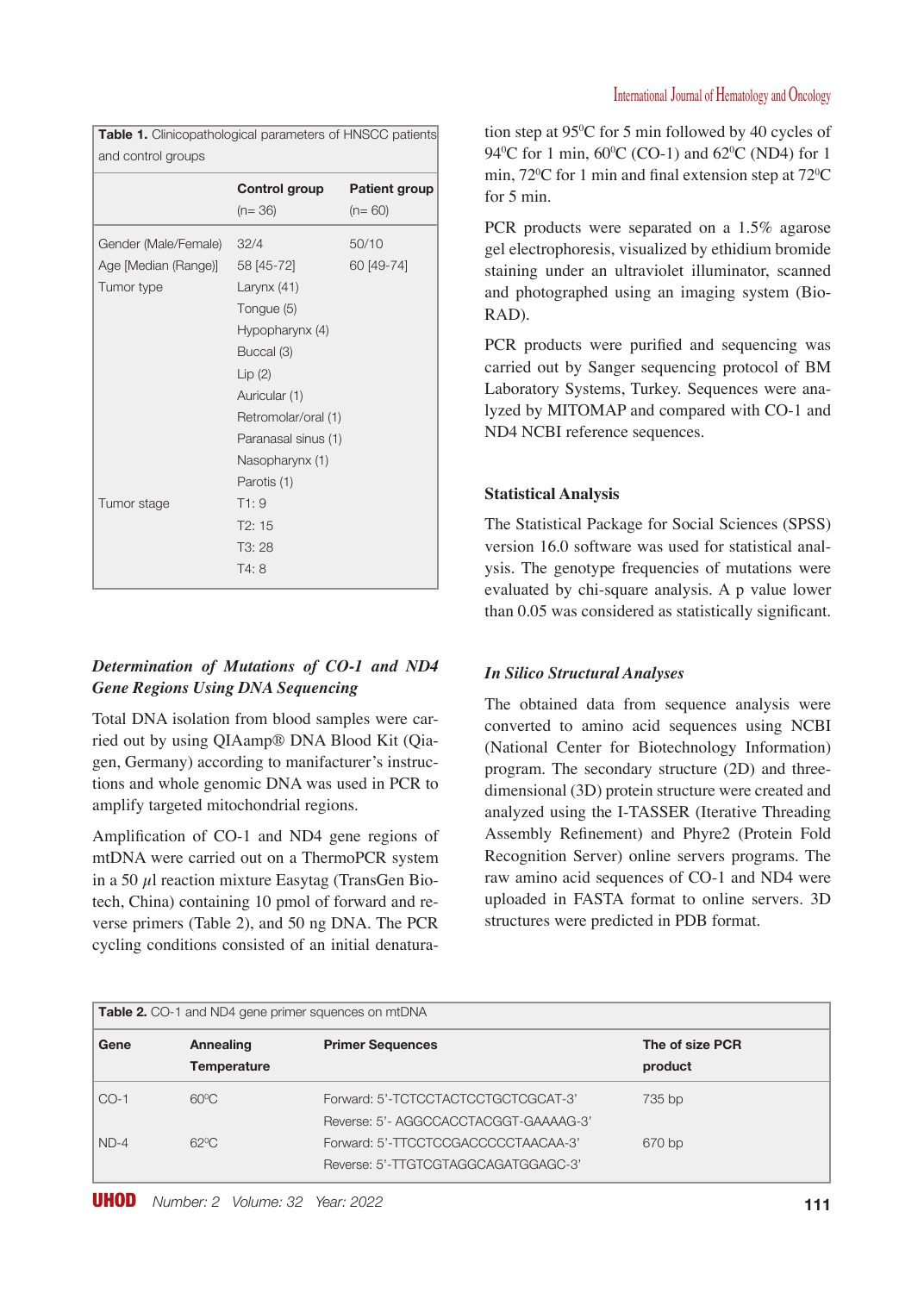| and control groups   |                     |                      |  |  |
|----------------------|---------------------|----------------------|--|--|
|                      | Control group       | <b>Patient group</b> |  |  |
|                      | $(n=36)$            | $(n=60)$             |  |  |
| Gender (Male/Female) | 32/4                | 50/10                |  |  |
| Age [Median (Range)] | 58 [45-72]          | 60 [49-74]           |  |  |
| Tumor type           | Larynx $(41)$       |                      |  |  |
|                      | Tongue (5)          |                      |  |  |
|                      | Hypopharynx (4)     |                      |  |  |
|                      | Buccal (3)          |                      |  |  |
|                      | Lip(2)              |                      |  |  |
|                      | Auricular (1)       |                      |  |  |
|                      | Retromolar/oral (1) |                      |  |  |
|                      | Paranasal sinus (1) |                      |  |  |
|                      | Nasopharynx (1)     |                      |  |  |
|                      | Parotis (1)         |                      |  |  |
| Tumor stage          | T1:9                |                      |  |  |
|                      | T2:15               |                      |  |  |
|                      | T3: 28              |                      |  |  |
|                      | T4:8                |                      |  |  |
|                      |                     |                      |  |  |

**Table 1.** Clinicopathological parameters of HNSCC patients

## *Determination of Mutations of CO-1 and ND4 Gene Regions Using DNA Sequencing*

Total DNA isolation from blood samples were carried out by using QIAamp® DNA Blood Kit (Qiagen, Germany) according to manifacturer's instructions and whole genomic DNA was used in PCR to amplify targeted mitochondrial regions.

Amplification of CO-1 and ND4 gene regions of mtDNA were carried out on a ThermoPCR system in a 50 μl reaction mixture Easytag (TransGen Biotech, China) containing 10 pmol of forward and reverse primers (Table 2), and 50 ng DNA. The PCR cycling conditions consisted of an initial denatura-

tion step at 950 C for 5 min followed by 40 cycles of 94<sup>o</sup>C for 1 min,  $60^{\circ}$ C (CO-1) and  $62^{\circ}$ C (ND4) for 1 min,  $72^{\circ}$ C for 1 min and final extension step at  $72^{\circ}$ C for 5 min.

PCR products were separated on a 1.5% agarose gel electrophoresis, visualized by ethidium bromide staining under an ultraviolet illuminator, scanned and photographed using an imaging system (Bio-RAD).

PCR products were purified and sequencing was carried out by Sanger sequencing protocol of BM Laboratory Systems, Turkey. Sequences were analyzed by MITOMAP and compared with CO-1 and ND4 NCBI reference sequences.

## **Statistical Analysis**

The Statistical Package for Social Sciences (SPSS) version 16.0 software was used for statistical analysis. The genotype frequencies of mutations were evaluated by chi-square analysis. A p value lower than 0.05 was considered as statistically significant.

#### *In Silico Structural Analyses*

The obtained data from sequence analysis were converted to amino acid sequences using NCBI (National Center for Biotechnology Information) program. The secondary structure (2D) and threedimensional (3D) protein structure were created and analyzed using the I-TASSER (Iterative Threading Assembly Refinement) and Phyre2 (Protein Fold Recognition Server) online servers programs. The raw amino acid sequences of CO-1 and ND4 were uploaded in FASTA format to online servers. 3D structures were predicted in PDB format.

| <b>Table 2.</b> CO-1 and ND4 gene primer squences on mtDNA |                                 |                                                                                                                     |                            |
|------------------------------------------------------------|---------------------------------|---------------------------------------------------------------------------------------------------------------------|----------------------------|
| Gene                                                       | Annealing<br><b>Temperature</b> | <b>Primer Sequences</b>                                                                                             | The of size PCR<br>product |
| $CO-1$                                                     | $60^{\circ}$ C                  | Forward: 5'-TCTCCTACTCCTGCTCGCAT-3'                                                                                 | 735 bp                     |
| $ND-4$                                                     | $62^{\circ}$ C                  | Reverse: 5'- AGGCCACCTACGGT-GAAAAG-3'<br>Forward: 5'-TTCCTCCGACCCCCTAACAA-3'<br>Reverse: 5'-TTGTCGTAGGCAGATGGAGC-3' | 670 bp                     |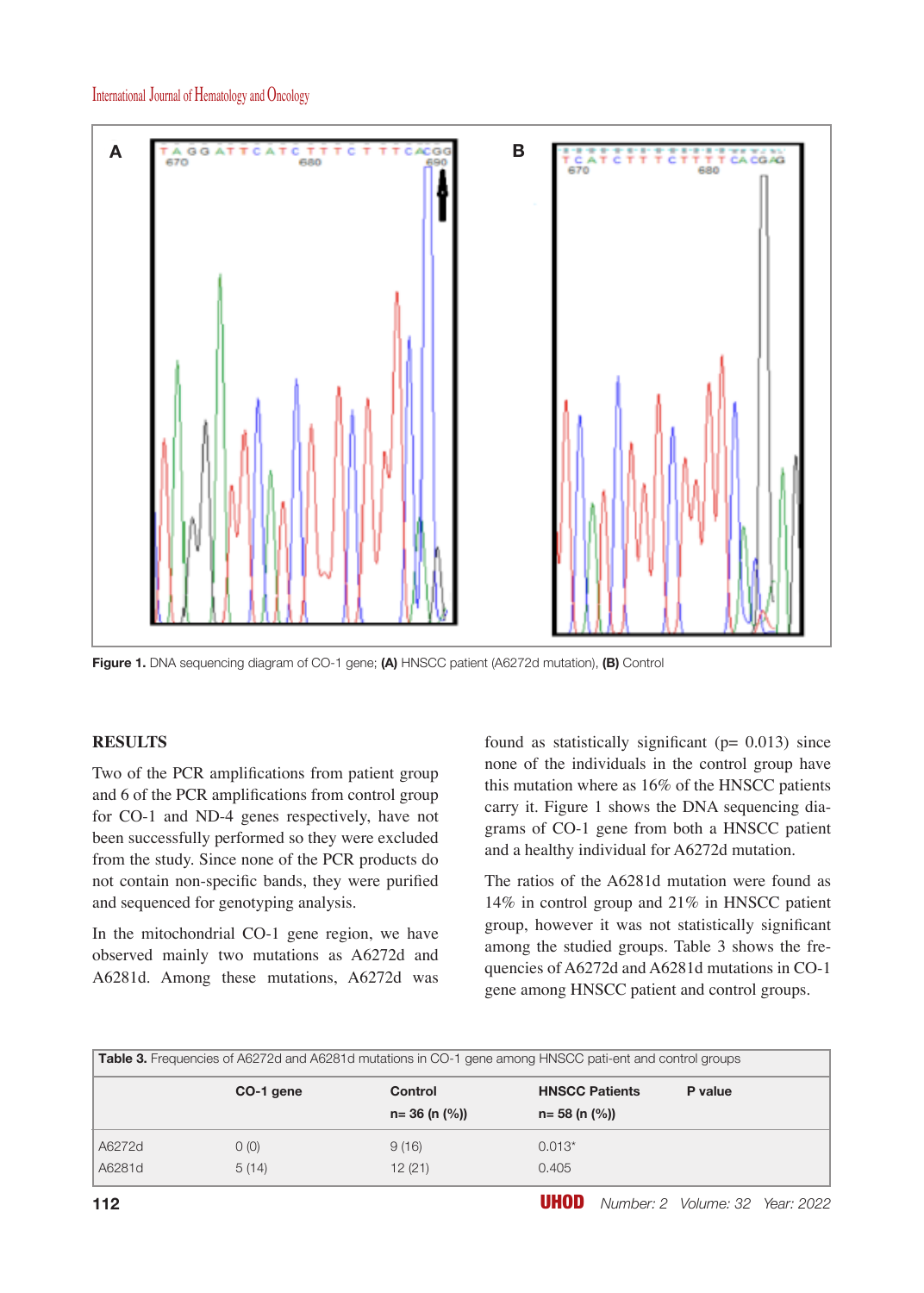

**Figure 1.** DNA sequencing diagram of CO-1 gene; **(A)** HNSCC patient (A6272d mutation), **(B)** Control

#### **RESULTS**

Two of the PCR amplifications from patient group and 6 of the PCR amplifications from control group for CO-1 and ND-4 genes respectively, have not been successfully performed so they were excluded from the study. Since none of the PCR products do not contain non-specific bands, they were purified and sequenced for genotyping analysis.

In the mitochondrial CO-1 gene region, we have observed mainly two mutations as A6272d and A6281d. Among these mutations, A6272d was found as statistically significant ( $p= 0.013$ ) since none of the individuals in the control group have this mutation where as 16% of the HNSCC patients carry it. Figure 1 shows the DNA sequencing diagrams of CO-1 gene from both a HNSCC patient and a healthy individual for A6272d mutation.

The ratios of the A6281d mutation were found as 14% in control group and 21% in HNSCC patient group, however it was not statistically significant among the studied groups. Table 3 shows the frequencies of A6272d and A6281d mutations in CO-1 gene among HNSCC patient and control groups.

| Table 3. Frequencies of A6272d and A6281d mutations in CO-1 gene among HNSCC pati-ent and control groups |               |                              |                                                                   |         |
|----------------------------------------------------------------------------------------------------------|---------------|------------------------------|-------------------------------------------------------------------|---------|
|                                                                                                          | CO-1 gene     | Control<br>$n=36$ (n $(%)$ ) | <b>HNSCC Patients</b><br>$n = 58$ (n $\left(\frac{9}{6}\right)$ ) | P value |
| A6272d<br>A6281d                                                                                         | O(0)<br>5(14) | 9(16)<br>12(21)              | $0.013*$<br>0.405                                                 |         |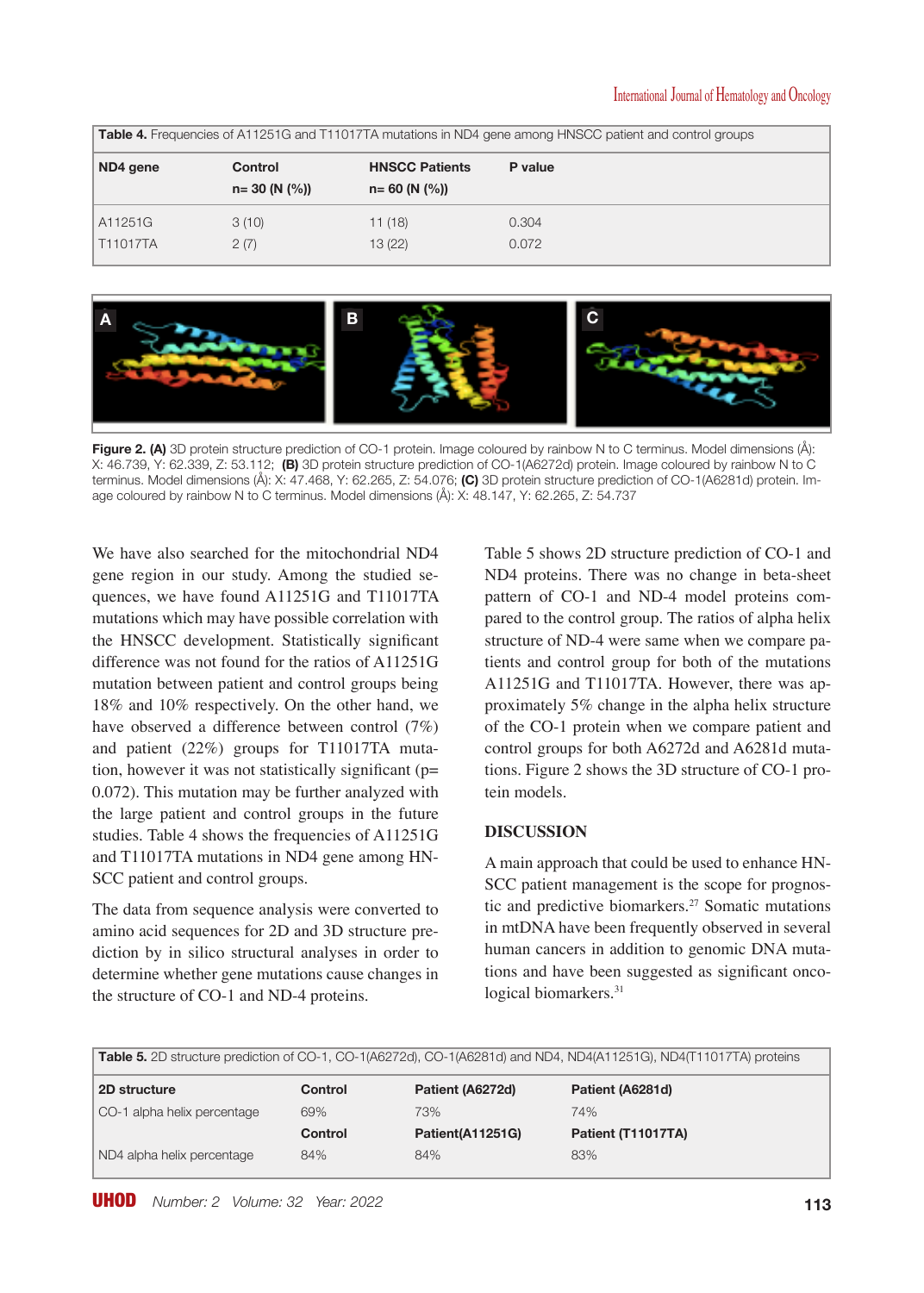| <b>Table 4.</b> Frequencies of A11251G and T11017TA mutations in ND4 gene among HNSCC patient and control groups |                             |                                              |                |
|------------------------------------------------------------------------------------------------------------------|-----------------------------|----------------------------------------------|----------------|
| ND4 gene                                                                                                         | Control<br>$n = 30 (N (%))$ | <b>HNSCC Patients</b><br>$n = 60$ (N $(%$ )) | P value        |
| A11251G<br>T11017TA                                                                                              | 3(10)<br>2(7)               | 11(18)<br>13(22)                             | 0.304<br>0.072 |



**Figure 2. (A)** 3D protein structure prediction of CO-1 protein. Image coloured by rainbow N to C terminus. Model dimensions (Å): X: 46.739, Y: 62.339, Z: 53.112; **(B)** 3D protein structure prediction of CO-1(A6272d) protein. Image coloured by rainbow N to C terminus. Model dimensions (Å): X: 47.468, Y: 62.265, Z: 54.076; **(C)** 3D protein structure prediction of CO-1(A6281d) protein. Image coloured by rainbow N to C terminus. Model dimensions (Å): X: 48.147, Y: 62.265, Z: 54.737

We have also searched for the mitochondrial ND4 gene region in our study. Among the studied sequences, we have found A11251G and T11017TA mutations which may have possible correlation with the HNSCC development. Statistically significant difference was not found for the ratios of A11251G mutation between patient and control groups being 18% and 10% respectively. On the other hand, we have observed a difference between control (7%) and patient (22%) groups for T11017TA mutation, however it was not statistically significant (p= 0.072). This mutation may be further analyzed with the large patient and control groups in the future studies. Table 4 shows the frequencies of A11251G and T11017TA mutations in ND4 gene among HN-SCC patient and control groups.

The data from sequence analysis were converted to amino acid sequences for 2D and 3D structure prediction by in silico structural analyses in order to determine whether gene mutations cause changes in the structure of CO-1 and ND-4 proteins.

Table 5 shows 2D structure prediction of CO-1 and ND4 proteins. There was no change in beta-sheet pattern of CO-1 and ND-4 model proteins compared to the control group. The ratios of alpha helix structure of ND-4 were same when we compare patients and control group for both of the mutations A11251G and T11017TA. However, there was approximately 5% change in the alpha helix structure of the CO-1 protein when we compare patient and control groups for both A6272d and A6281d mutations. Figure 2 shows the 3D structure of CO-1 protein models.

## **DISCUSSION**

A main approach that could be used to enhance HN-SCC patient management is the scope for prognostic and predictive biomarkers.27 Somatic mutations in mtDNA have been frequently observed in several human cancers in addition to genomic DNA mutations and have been suggested as significant oncological biomarkers.<sup>31</sup>

**Table 5.** 2D structure prediction of CO-1, CO-1(A6272d), CO-1(A6281d) and ND4, ND4(A11251G), ND4(T11017TA) proteins **2D structure Control Patient (A6272d) Patient (A6281d)** CO-1 alpha helix percentage 69% 73% 73% 74% **Control Patient(A11251G) Patient (T11017TA)** ND4 alpha helix percentage 84% 84% 84% 83%

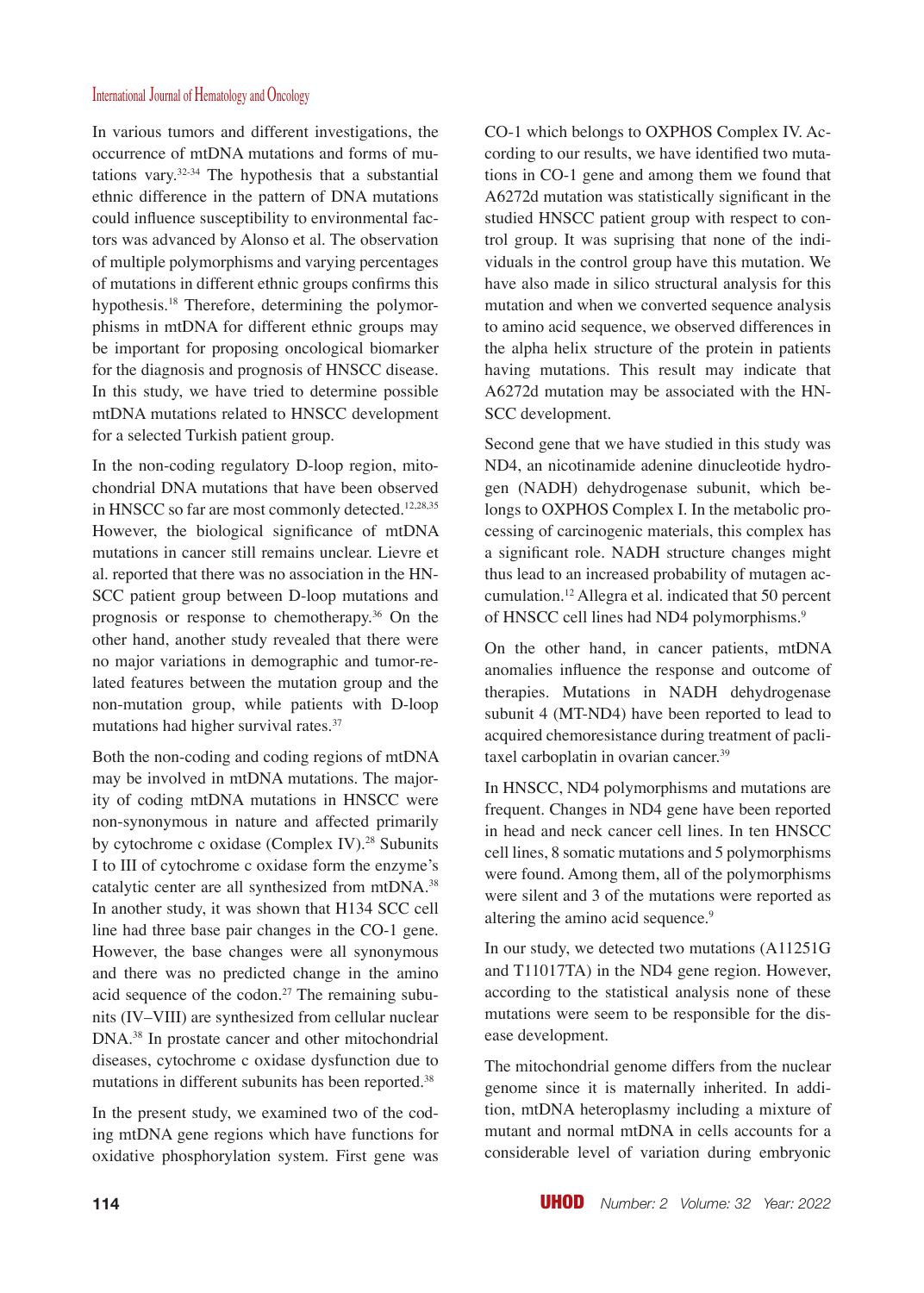In various tumors and different investigations, the occurrence of mtDNA mutations and forms of mutations vary. $32-34$  The hypothesis that a substantial ethnic difference in the pattern of DNA mutations could influence susceptibility to environmental factors was advanced by Alonso et al. The observation of multiple polymorphisms and varying percentages of mutations in different ethnic groups confirms this hypothesis.<sup>18</sup> Therefore, determining the polymorphisms in mtDNA for different ethnic groups may be important for proposing oncological biomarker for the diagnosis and prognosis of HNSCC disease. In this study, we have tried to determine possible mtDNA mutations related to HNSCC development for a selected Turkish patient group.

In the non-coding regulatory D-loop region, mitochondrial DNA mutations that have been observed in HNSCC so far are most commonly detected.<sup>12,28,35</sup> However, the biological significance of mtDNA mutations in cancer still remains unclear. Lievre et al. reported that there was no association in the HN-SCC patient group between D-loop mutations and prognosis or response to chemotherapy.36 On the other hand, another study revealed that there were no major variations in demographic and tumor-related features between the mutation group and the non-mutation group, while patients with D-loop mutations had higher survival rates.<sup>37</sup>

Both the non-coding and coding regions of mtDNA may be involved in mtDNA mutations. The majority of coding mtDNA mutations in HNSCC were non-synonymous in nature and affected primarily by cytochrome c oxidase (Complex IV).<sup>28</sup> Subunits I to III of cytochrome c oxidase form the enzyme's catalytic center are all synthesized from mtDNA.<sup>38</sup> In another study, it was shown that H134 SCC cell line had three base pair changes in the CO-1 gene. However, the base changes were all synonymous and there was no predicted change in the amino acid sequence of the codon.<sup>27</sup> The remaining subunits (IV–VIII) are synthesized from cellular nuclear DNA.38 In prostate cancer and other mitochondrial diseases, cytochrome c oxidase dysfunction due to mutations in different subunits has been reported.<sup>38</sup>

In the present study, we examined two of the coding mtDNA gene regions which have functions for oxidative phosphorylation system. First gene was

CO-1 which belongs to OXPHOS Complex IV. According to our results, we have identified two mutations in CO-1 gene and among them we found that A6272d mutation was statistically significant in the studied HNSCC patient group with respect to control group. It was suprising that none of the individuals in the control group have this mutation. We have also made in silico structural analysis for this mutation and when we converted sequence analysis to amino acid sequence, we observed differences in the alpha helix structure of the protein in patients having mutations. This result may indicate that A6272d mutation may be associated with the HN-SCC development.

Second gene that we have studied in this study was ND4, an nicotinamide adenine dinucleotide hydrogen (NADH) dehydrogenase subunit, which belongs to OXPHOS Complex I. In the metabolic processing of carcinogenic materials, this complex has a significant role. NADH structure changes might thus lead to an increased probability of mutagen accumulation.<sup>12</sup> Allegra et al. indicated that 50 percent of HNSCC cell lines had ND4 polymorphisms.<sup>9</sup>

On the other hand, in cancer patients, mtDNA anomalies influence the response and outcome of therapies. Mutations in NADH dehydrogenase subunit 4 (MT-ND4) have been reported to lead to acquired chemoresistance during treatment of paclitaxel carboplatin in ovarian cancer.<sup>39</sup>

In HNSCC, ND4 polymorphisms and mutations are frequent. Changes in ND4 gene have been reported in head and neck cancer cell lines. In ten HNSCC cell lines, 8 somatic mutations and 5 polymorphisms were found. Among them, all of the polymorphisms were silent and 3 of the mutations were reported as altering the amino acid sequence.<sup>9</sup>

In our study, we detected two mutations (A11251G and T11017TA) in the ND4 gene region. However, according to the statistical analysis none of these mutations were seem to be responsible for the disease development.

The mitochondrial genome differs from the nuclear genome since it is maternally inherited. In addition, mtDNA heteroplasmy including a mixture of mutant and normal mtDNA in cells accounts for a considerable level of variation during embryonic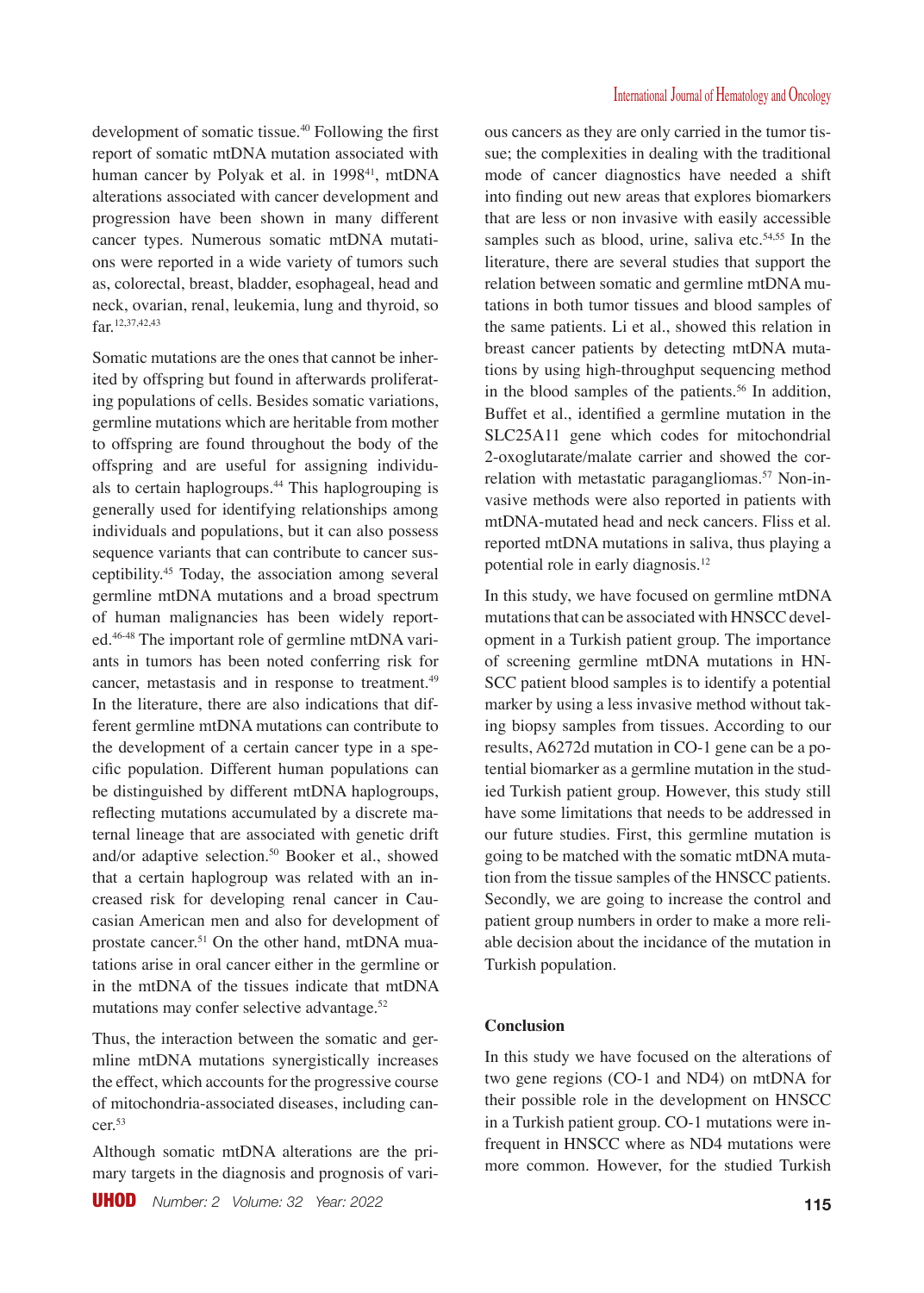development of somatic tissue.<sup>40</sup> Following the first report of somatic mtDNA mutation associated with human cancer by Polyak et al. in 1998<sup>41</sup>, mtDNA alterations associated with cancer development and progression have been shown in many different cancer types. Numerous somatic mtDNA mutations were reported in a wide variety of tumors such as, colorectal, breast, bladder, esophageal, head and neck, ovarian, renal, leukemia, lung and thyroid, so far.12,37,42,43

Somatic mutations are the ones that cannot be inherited by offspring but found in afterwards proliferating populations of cells. Besides somatic variations, germline mutations which are heritable from mother to offspring are found throughout the body of the offspring and are useful for assigning individuals to certain haplogroups.<sup>44</sup> This haplogrouping is generally used for identifying relationships among individuals and populations, but it can also possess sequence variants that can contribute to cancer susceptibility.<sup>45</sup> Today, the association among several germline mtDNA mutations and a broad spectrum of human malignancies has been widely reported.46-48 The important role of germline mtDNA variants in tumors has been noted conferring risk for cancer, metastasis and in response to treatment.<sup>49</sup> In the literature, there are also indications that different germline mtDNA mutations can contribute to the development of a certain cancer type in a specific population. Different human populations can be distinguished by different mtDNA haplogroups, reflecting mutations accumulated by a discrete maternal lineage that are associated with genetic drift and/or adaptive selection.<sup>50</sup> Booker et al., showed that a certain haplogroup was related with an increased risk for developing renal cancer in Caucasian American men and also for development of prostate cancer.<sup>51</sup> On the other hand, mtDNA muatations arise in oral cancer either in the germline or in the mtDNA of the tissues indicate that mtDNA mutations may confer selective advantage.<sup>52</sup>

Thus, the interaction between the somatic and germline mtDNA mutations synergistically increases the effect, which accounts for the progressive course of mitochondria-associated diseases, including cancer.<sup>53</sup>

Although somatic mtDNA alterations are the primary targets in the diagnosis and prognosis of various cancers as they are only carried in the tumor tissue; the complexities in dealing with the traditional mode of cancer diagnostics have needed a shift into finding out new areas that explores biomarkers that are less or non invasive with easily accessible samples such as blood, urine, saliva etc. $54,55$  In the literature, there are several studies that support the relation between somatic and germline mtDNA mutations in both tumor tissues and blood samples of the same patients. Li et al., showed this relation in breast cancer patients by detecting mtDNA mutations by using high-throughput sequencing method in the blood samples of the patients.<sup>56</sup> In addition, Buffet et al., identified a germline mutation in the SLC25A11 gene which codes for mitochondrial 2-oxoglutarate/malate carrier and showed the correlation with metastatic paragangliomas.<sup>57</sup> Non-invasive methods were also reported in patients with mtDNA-mutated head and neck cancers. Fliss et al. reported mtDNA mutations in saliva, thus playing a potential role in early diagnosis.<sup>12</sup>

In this study, we have focused on germline mtDNA mutations that can be associated with HNSCC development in a Turkish patient group. The importance of screening germline mtDNA mutations in HN-SCC patient blood samples is to identify a potential marker by using a less invasive method without taking biopsy samples from tissues. According to our results, A6272d mutation in CO-1 gene can be a potential biomarker as a germline mutation in the studied Turkish patient group. However, this study still have some limitations that needs to be addressed in our future studies. First, this germline mutation is going to be matched with the somatic mtDNA mutation from the tissue samples of the HNSCC patients. Secondly, we are going to increase the control and patient group numbers in order to make a more reliable decision about the incidance of the mutation in Turkish population.

#### **Conclusion**

In this study we have focused on the alterations of two gene regions (CO-1 and ND4) on mtDNA for their possible role in the development on HNSCC in a Turkish patient group. CO-1 mutations were infrequent in HNSCC where as ND4 mutations were more common. However, for the studied Turkish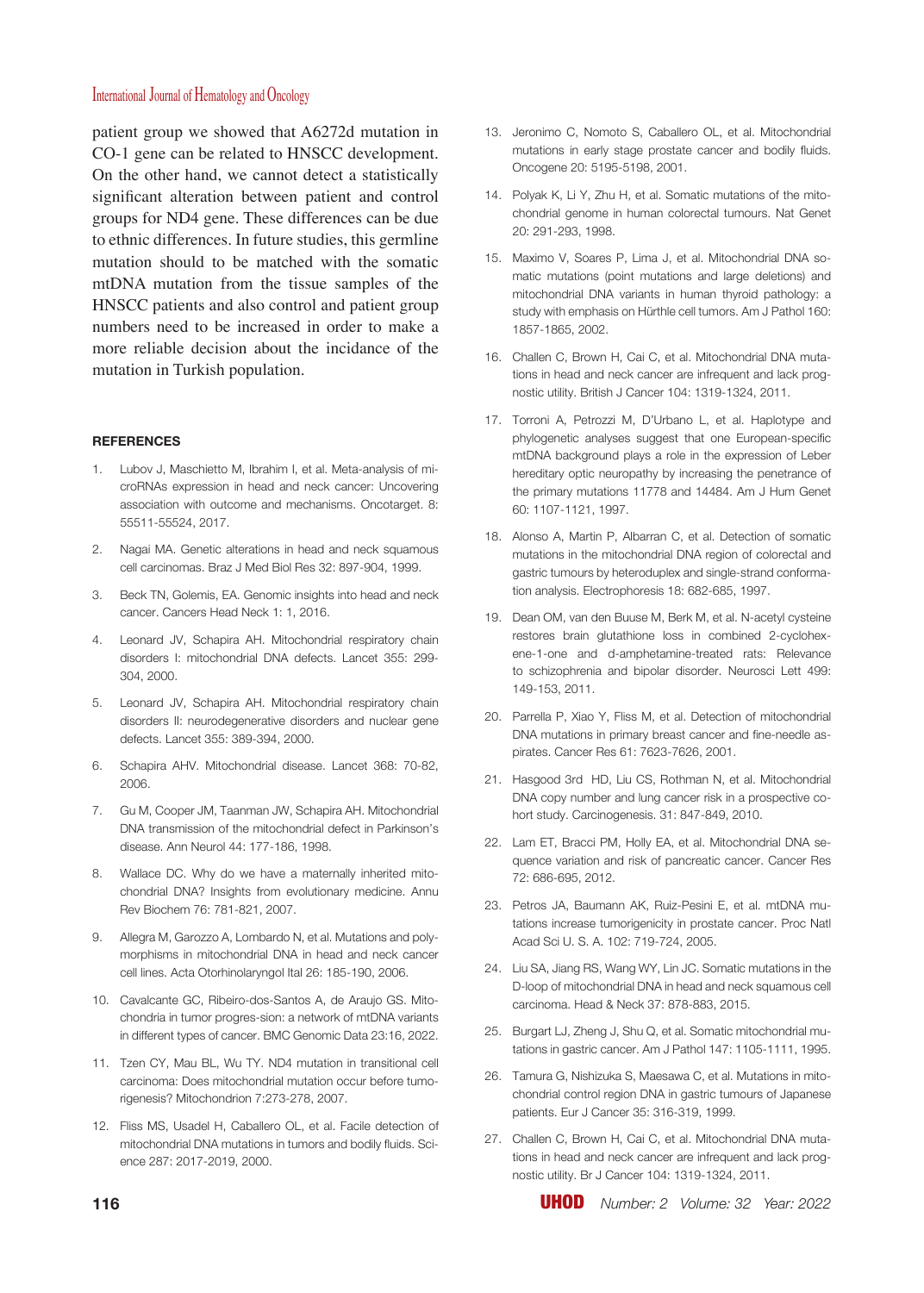patient group we showed that A6272d mutation in CO-1 gene can be related to HNSCC development. On the other hand, we cannot detect a statistically significant alteration between patient and control groups for ND4 gene. These differences can be due to ethnic differences. In future studies, this germline mutation should to be matched with the somatic mtDNA mutation from the tissue samples of the HNSCC patients and also control and patient group numbers need to be increased in order to make a more reliable decision about the incidance of the mutation in Turkish population.

#### **REFERENCES**

- 1. Lubov J, Maschietto M, Ibrahim I, et al. Meta-analysis of microRNAs expression in head and neck cancer: Uncovering association with outcome and mechanisms. Oncotarget. 8: 55511-55524, 2017.
- 2. Nagai MA. Genetic alterations in head and neck squamous cell carcinomas. Braz J Med Biol Res 32: 897-904, 1999.
- 3. Beck TN, Golemis, EA. Genomic insights into head and neck cancer. Cancers Head Neck 1: 1, 2016.
- 4. Leonard JV, Schapira AH. Mitochondrial respiratory chain disorders I: mitochondrial DNA defects. Lancet 355: 299- 304, 2000.
- 5. Leonard JV, Schapira AH. Mitochondrial respiratory chain disorders II: neurodegenerative disorders and nuclear gene defects. Lancet 355: 389-394, 2000.
- 6. Schapira AHV. Mitochondrial disease. Lancet 368: 70-82, 2006.
- 7. Gu M, Cooper JM, Taanman JW, Schapira AH. Mitochondrial DNA transmission of the mitochondrial defect in Parkinson's disease. Ann Neurol 44: 177-186, 1998.
- 8. Wallace DC. Why do we have a maternally inherited mitochondrial DNA? Insights from evolutionary medicine. Annu Rev Biochem 76: 781-821, 2007.
- 9. Allegra M, Garozzo A, Lombardo N, et al. Mutations and polymorphisms in mitochondrial DNA in head and neck cancer cell lines. Acta Otorhinolaryngol Ital 26: 185-190, 2006.
- 10. Cavalcante GC, Ribeiro-dos-Santos A, de Araujo GS. Mitochondria in tumor progres-sion: a network of mtDNA variants in different types of cancer. BMC Genomic Data 23:16, 2022.
- 11. Tzen CY, Mau BL, Wu TY. ND4 mutation in transitional cell carcinoma: Does mitochondrial mutation occur before tumorigenesis? Mitochondrion 7:273-278, 2007.
- 12. Fliss MS, Usadel H, Caballero OL, et al. Facile detection of mitochondrial DNA mutations in tumors and bodily fluids. Science 287: 2017-2019, 2000.
- 13. Jeronimo C, Nomoto S, Caballero OL, et al. Mitochondrial mutations in early stage prostate cancer and bodily fluids. Oncogene 20: 5195-5198, 2001.
- 14. Polyak K, Li Y, Zhu H, et al. Somatic mutations of the mitochondrial genome in human colorectal tumours. Nat Genet 20: 291-293, 1998.
- 15. Maximo V, Soares P, Lima J, et al. Mitochondrial DNA somatic mutations (point mutations and large deletions) and mitochondrial DNA variants in human thyroid pathology: a study with emphasis on Hürthle cell tumors. Am J Pathol 160: 1857-1865, 2002.
- 16. Challen C, Brown H, Cai C, et al. Mitochondrial DNA mutations in head and neck cancer are infrequent and lack prognostic utility. British J Cancer 104: 1319-1324, 2011.
- 17. Torroni A, Petrozzi M, D'Urbano L, et al. Haplotype and phylogenetic analyses suggest that one European-specific mtDNA background plays a role in the expression of Leber hereditary optic neuropathy by increasing the penetrance of the primary mutations 11778 and 14484. Am J Hum Genet 60: 1107-1121, 1997.
- 18. Alonso A, Martin P, Albarran C, et al. Detection of somatic mutations in the mitochondrial DNA region of colorectal and gastric tumours by heteroduplex and single-strand conformation analysis. Electrophoresis 18: 682-685, 1997.
- 19. Dean OM, van den Buuse M, Berk M, et al. N-acetyl cysteine restores brain glutathione loss in combined 2-cyclohexene-1-one and d-amphetamine-treated rats: Relevance to schizophrenia and bipolar disorder. Neurosci Lett 499: 149-153, 2011.
- 20. Parrella P, Xiao Y, Fliss M, et al. Detection of mitochondrial DNA mutations in primary breast cancer and fine-needle aspirates. Cancer Res 61: 7623-7626, 2001.
- 21. Hasgood 3rd HD, Liu CS, Rothman N, et al. Mitochondrial DNA copy number and lung cancer risk in a prospective cohort study. Carcinogenesis. 31: 847-849, 2010.
- 22. Lam ET, Bracci PM, Holly EA, et al. Mitochondrial DNA sequence variation and risk of pancreatic cancer. Cancer Res 72: 686-695, 2012.
- 23. Petros JA, Baumann AK, Ruiz-Pesini E, et al. mtDNA mutations increase tumorigenicity in prostate cancer. Proc Natl Acad Sci U. S. A. 102: 719-724, 2005.
- 24. Liu SA, Jiang RS, Wang WY, Lin JC. Somatic mutations in the D-loop of mitochondrial DNA in head and neck squamous cell carcinoma. Head & Neck 37: 878-883, 2015.
- 25. Burgart LJ, Zheng J, Shu Q, et al. Somatic mitochondrial mutations in gastric cancer. Am J Pathol 147: 1105-1111, 1995.
- 26. Tamura G, Nishizuka S, Maesawa C, et al. Mutations in mitochondrial control region DNA in gastric tumours of Japanese patients. Eur J Cancer 35: 316-319, 1999.
- 27. Challen C, Brown H, Cai C, et al. Mitochondrial DNA mutations in head and neck cancer are infrequent and lack prognostic utility. Br J Cancer 104: 1319-1324, 2011.

**116** UHOD *Number: 2 Volume: 32 Year: 2022*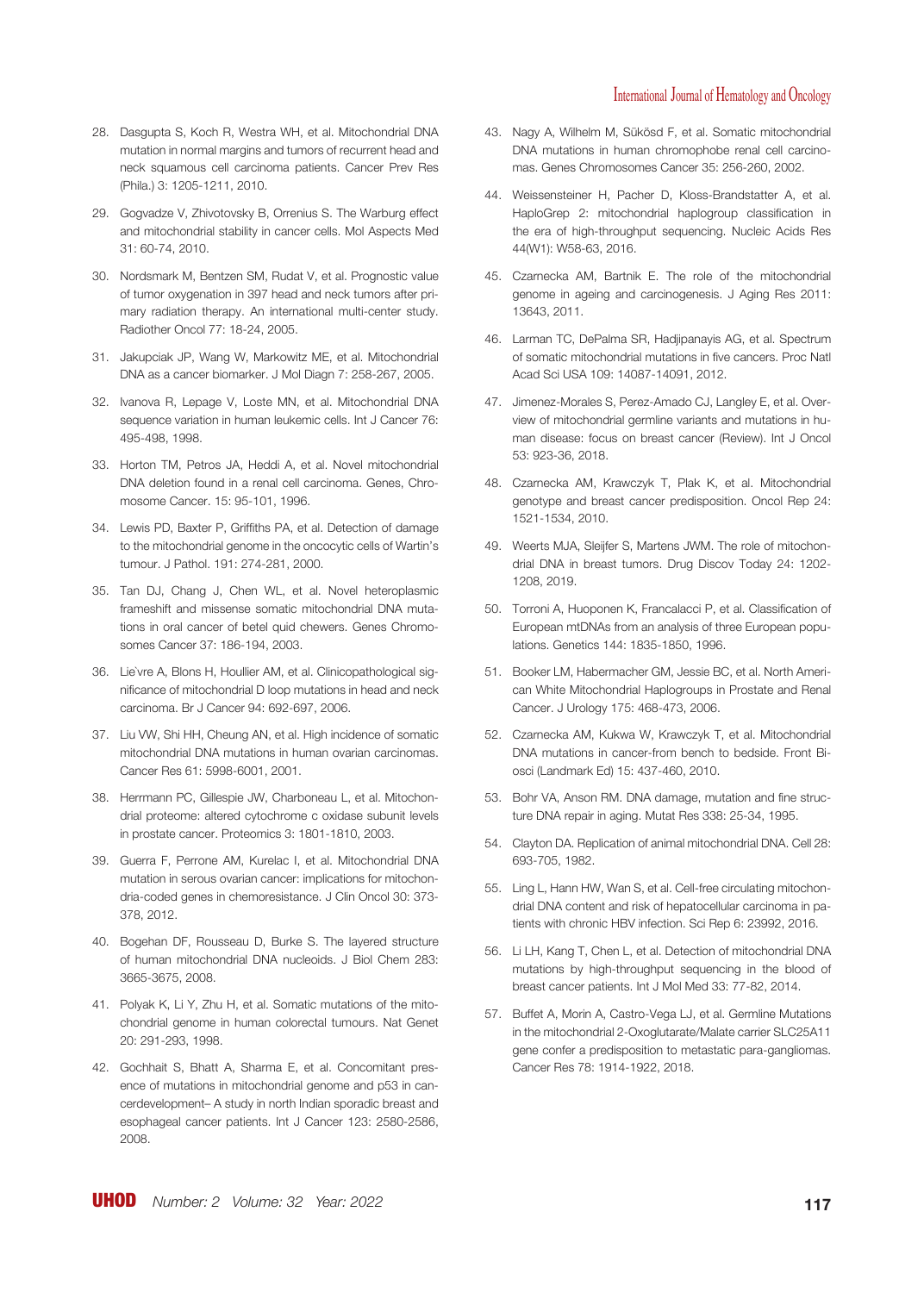- 28. Dasgupta S, Koch R, Westra WH, et al. Mitochondrial DNA mutation in normal margins and tumors of recurrent head and neck squamous cell carcinoma patients. Cancer Prev Res (Phila.) 3: 1205-1211, 2010.
- 29. Gogvadze V, Zhivotovsky B, Orrenius S. The Warburg effect and mitochondrial stability in cancer cells. Mol Aspects Med 31: 60-74, 2010.
- 30. Nordsmark M, Bentzen SM, Rudat V, et al. Prognostic value of tumor oxygenation in 397 head and neck tumors after primary radiation therapy. An international multi-center study. Radiother Oncol 77: 18-24, 2005.
- 31. Jakupciak JP, Wang W, Markowitz ME, et al. Mitochondrial DNA as a cancer biomarker. J Mol Diagn 7: 258-267, 2005.
- 32. Ivanova R, Lepage V, Loste MN, et al. Mitochondrial DNA sequence variation in human leukemic cells. Int J Cancer 76: 495-498, 1998.
- 33. Horton TM, Petros JA, Heddi A, et al. Novel mitochondrial DNA deletion found in a renal cell carcinoma. Genes, Chromosome Cancer. 15: 95-101, 1996.
- 34. Lewis PD, Baxter P, Griffiths PA, et al. Detection of damage to the mitochondrial genome in the oncocytic cells of Wartin's tumour. J Pathol. 191: 274-281, 2000.
- 35. Tan DJ, Chang J, Chen WL, et al. Novel heteroplasmic frameshift and missense somatic mitochondrial DNA mutations in oral cancer of betel quid chewers. Genes Chromosomes Cancer 37: 186-194, 2003.
- 36. Lie`vre A, Blons H, Houllier AM, et al. Clinicopathological significance of mitochondrial D loop mutations in head and neck carcinoma. Br J Cancer 94: 692-697, 2006.
- 37. Liu VW, Shi HH, Cheung AN, et al. High incidence of somatic mitochondrial DNA mutations in human ovarian carcinomas. Cancer Res 61: 5998-6001, 2001.
- 38. Herrmann PC, Gillespie JW, Charboneau L, et al. Mitochondrial proteome: altered cytochrome c oxidase subunit levels in prostate cancer. Proteomics 3: 1801-1810, 2003.
- 39. Guerra F, Perrone AM, Kurelac I, et al. Mitochondrial DNA mutation in serous ovarian cancer: implications for mitochondria-coded genes in chemoresistance. J Clin Oncol 30: 373- 378, 2012.
- 40. Bogehan DF, Rousseau D, Burke S. The layered structure of human mitochondrial DNA nucleoids. J Biol Chem 283: 3665-3675, 2008.
- 41. Polyak K, Li Y, Zhu H, et al. Somatic mutations of the mitochondrial genome in human colorectal tumours. Nat Genet 20: 291-293, 1998.
- 42. Gochhait S, Bhatt A, Sharma E, et al. Concomitant presence of mutations in mitochondrial genome and p53 in cancerdevelopment– A study in north Indian sporadic breast and esophageal cancer patients. Int J Cancer 123: 2580-2586, 2008.
- 43. Nagy A, Wilhelm M, Sükösd F, et al. Somatic mitochondrial DNA mutations in human chromophobe renal cell carcinomas. Genes Chromosomes Cancer 35: 256-260, 2002.
- 44. Weissensteiner H, Pacher D, Kloss-Brandstatter A, et al. HaploGrep 2: mitochondrial haplogroup classification in the era of high-throughput sequencing. Nucleic Acids Res 44(W1): W58-63, 2016.
- 45. Czarnecka AM, Bartnik E. The role of the mitochondrial genome in ageing and carcinogenesis. J Aging Res 2011: 13643, 2011.
- 46. Larman TC, DePalma SR, Hadjipanayis AG, et al. Spectrum of somatic mitochondrial mutations in five cancers. Proc Natl Acad Sci USA 109: 14087-14091, 2012.
- 47. Jimenez-Morales S, Perez-Amado CJ, Langley E, et al. Overview of mitochondrial germline variants and mutations in human disease: focus on breast cancer (Review). Int J Oncol 53: 923-36, 2018.
- 48. Czarnecka AM, Krawczyk T, Plak K, et al. Mitochondrial genotype and breast cancer predisposition. Oncol Rep 24: 1521-1534, 2010.
- 49. Weerts MJA, Sleijfer S, Martens JWM. The role of mitochondrial DNA in breast tumors. Drug Discov Today 24: 1202- 1208, 2019.
- 50. Torroni A, Huoponen K, Francalacci P, et al. Classification of European mtDNAs from an analysis of three European populations. Genetics 144: 1835-1850, 1996.
- 51. Booker LM, Habermacher GM, Jessie BC, et al. North American White Mitochondrial Haplogroups in Prostate and Renal Cancer. J Urology 175: 468-473, 2006.
- 52. Czarnecka AM, Kukwa W, Krawczyk T, et al. Mitochondrial DNA mutations in cancer-from bench to bedside. Front Biosci (Landmark Ed) 15: 437-460, 2010.
- 53. Bohr VA, Anson RM. DNA damage, mutation and fine structure DNA repair in aging. Mutat Res 338: 25-34, 1995.
- 54. Clayton DA. Replication of animal mitochondrial DNA. Cell 28: 693-705, 1982.
- 55. Ling L, Hann HW, Wan S, et al. Cell-free circulating mitochondrial DNA content and risk of hepatocellular carcinoma in patients with chronic HBV infection. Sci Rep 6: 23992, 2016.
- 56. Li LH, Kang T, Chen L, et al. Detection of mitochondrial DNA mutations by high-throughput sequencing in the blood of breast cancer patients. Int J Mol Med 33: 77-82, 2014.
- 57. Buffet A, Morin A, Castro-Vega LJ, et al. Germline Mutations in the mitochondrial 2-Oxoglutarate/Malate carrier SLC25A11 gene confer a predisposition to metastatic para-gangliomas. Cancer Res 78: 1914-1922, 2018.